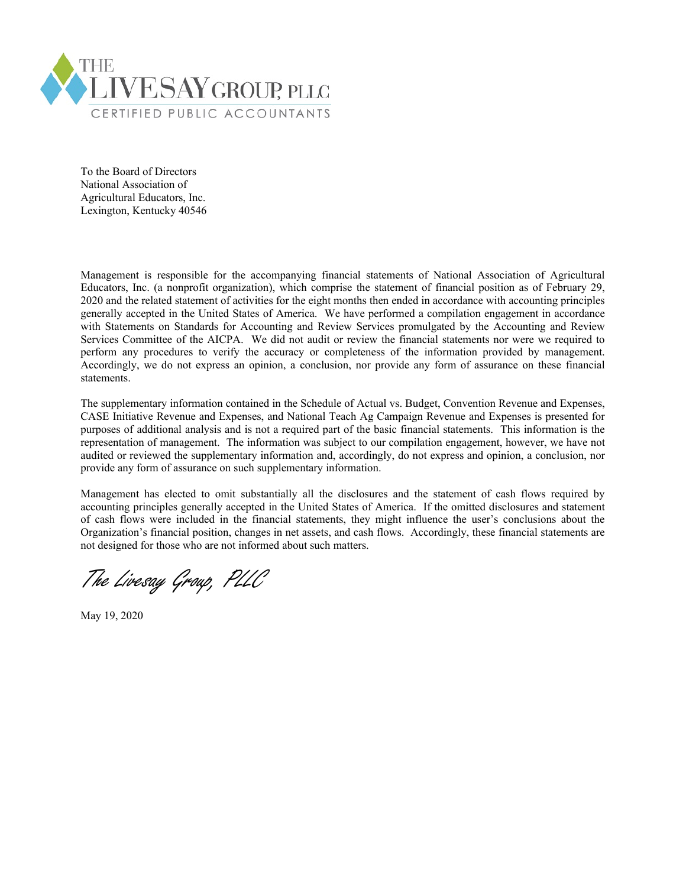

To the Board of Directors National Association of Agricultural Educators, Inc. Lexington, Kentucky 40546

Management is responsible for the accompanying financial statements of National Association of Agricultural Educators, Inc. (a nonprofit organization), which comprise the statement of financial position as of February 29, 2020 and the related statement of activities for the eight months then ended in accordance with accounting principles generally accepted in the United States of America. We have performed a compilation engagement in accordance with Statements on Standards for Accounting and Review Services promulgated by the Accounting and Review Services Committee of the AICPA. We did not audit or review the financial statements nor were we required to perform any procedures to verify the accuracy or completeness of the information provided by management. Accordingly, we do not express an opinion, a conclusion, nor provide any form of assurance on these financial statements.

The supplementary information contained in the Schedule of Actual vs. Budget, Convention Revenue and Expenses, CASE Initiative Revenue and Expenses, and National Teach Ag Campaign Revenue and Expenses is presented for purposes of additional analysis and is not a required part of the basic financial statements. This information is the representation of management. The information was subject to our compilation engagement, however, we have not audited or reviewed the supplementary information and, accordingly, do not express and opinion, a conclusion, nor provide any form of assurance on such supplementary information.

Management has elected to omit substantially all the disclosures and the statement of cash flows required by accounting principles generally accepted in the United States of America. If the omitted disclosures and statement of cash flows were included in the financial statements, they might influence the user's conclusions about the Organization's financial position, changes in net assets, and cash flows. Accordingly, these financial statements are not designed for those who are not informed about such matters.

The Livesay Group, PLLC

May 19, 2020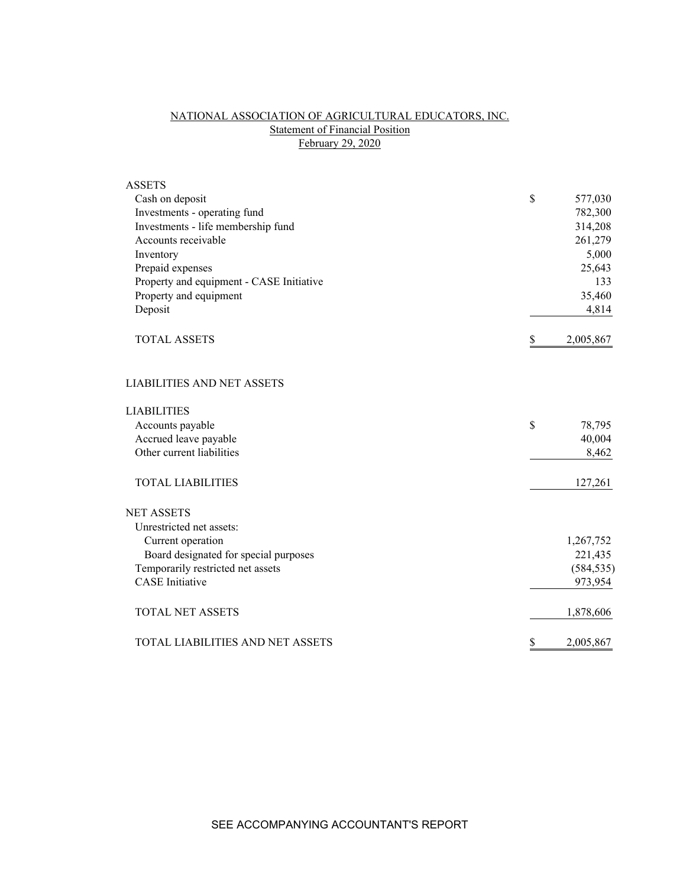# NATIONAL ASSOCIATION OF AGRICULTURAL EDUCATORS, INC. **Statement of Financial Position** February 29, 2020

| <b>ASSETS</b>                            |                 |
|------------------------------------------|-----------------|
| Cash on deposit                          | \$<br>577,030   |
| Investments - operating fund             | 782,300         |
| Investments - life membership fund       | 314,208         |
| Accounts receivable                      | 261,279         |
| Inventory                                | 5,000           |
| Prepaid expenses                         | 25,643          |
| Property and equipment - CASE Initiative | 133             |
| Property and equipment                   | 35,460          |
| Deposit                                  | 4,814           |
| <b>TOTAL ASSETS</b>                      | \$<br>2,005,867 |
| <b>LIABILITIES AND NET ASSETS</b>        |                 |
| <b>LIABILITIES</b>                       |                 |
| Accounts payable                         | \$<br>78,795    |
| Accrued leave payable                    | 40,004          |
| Other current liabilities                | 8,462           |
| <b>TOTAL LIABILITIES</b>                 | 127,261         |
| <b>NET ASSETS</b>                        |                 |
| Unrestricted net assets:                 |                 |
| Current operation                        | 1,267,752       |
| Board designated for special purposes    | 221,435         |
| Temporarily restricted net assets        | (584, 535)      |
| <b>CASE</b> Initiative                   | 973,954         |
| <b>TOTAL NET ASSETS</b>                  | 1,878,606       |
| TOTAL LIABILITIES AND NET ASSETS         | \$<br>2,005,867 |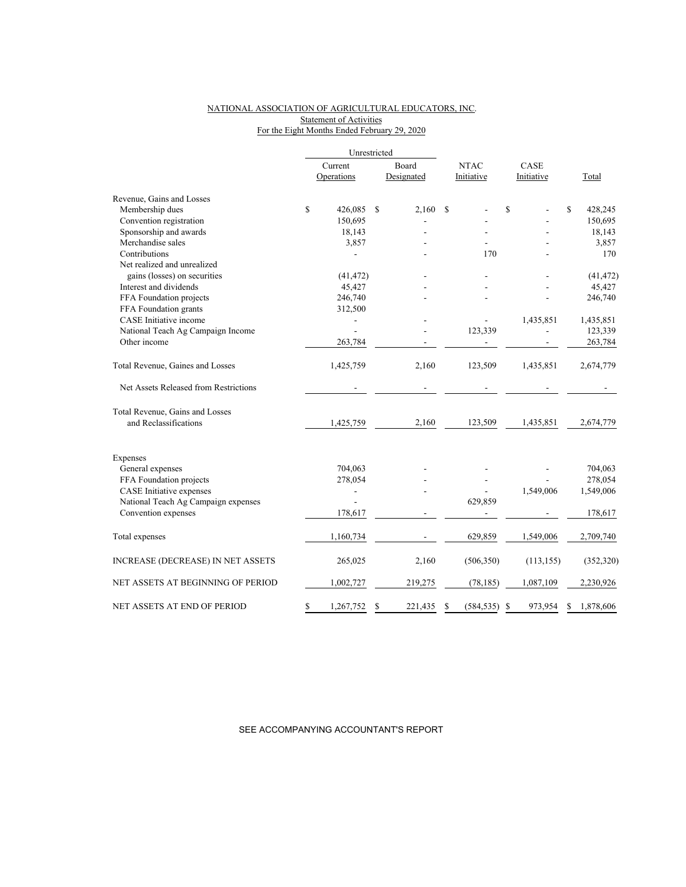## NATIONAL ASSOCIATION OF AGRICULTURAL EDUCATORS, INC. Statement of Activities For the Eight Months Ended February 29, 2020

|                                                          |         | Unrestricted |               |               |                |      |            |    |           |
|----------------------------------------------------------|---------|--------------|---------------|---------------|----------------|------|------------|----|-----------|
|                                                          | Current |              | Board         | <b>NTAC</b>   |                | CASE |            |    |           |
|                                                          |         | Operations   | Designated    |               | Initiative     |      | Initiative |    | Total     |
| Revenue, Gains and Losses                                |         |              |               |               |                |      |            |    |           |
| Membership dues                                          | \$      | 426,085      | \$<br>2,160   | <sup>\$</sup> |                | \$   |            | \$ | 428,245   |
| Convention registration                                  |         | 150,695      |               |               |                |      |            |    | 150,695   |
| Sponsorship and awards                                   |         | 18,143       |               |               |                |      |            |    | 18,143    |
| Merchandise sales                                        |         | 3,857        |               |               |                |      |            |    | 3,857     |
| Contributions                                            |         |              |               |               | 170            |      |            |    | 170       |
| Net realized and unrealized                              |         |              |               |               |                |      |            |    |           |
| gains (losses) on securities                             |         | (41, 472)    |               |               |                |      |            |    | (41, 472) |
| Interest and dividends                                   |         | 45,427       |               |               |                |      |            |    | 45,427    |
| FFA Foundation projects                                  |         | 246,740      |               |               |                |      |            |    | 246,740   |
| FFA Foundation grants                                    |         | 312,500      |               |               |                |      |            |    |           |
| CASE Initiative income                                   |         |              |               |               | $\overline{a}$ |      | 1,435,851  |    | 1,435,851 |
| National Teach Ag Campaign Income                        |         |              |               |               | 123,339        |      |            |    | 123,339   |
| Other income                                             |         | 263,784      |               |               |                |      |            |    | 263,784   |
| Total Revenue, Gaines and Losses                         |         | 1,425,759    | 2,160         |               | 123,509        |      | 1,435,851  |    | 2,674,779 |
| Net Assets Released from Restrictions                    |         |              |               |               |                |      |            |    |           |
| Total Revenue, Gains and Losses<br>and Reclassifications |         | 1,425,759    | 2,160         |               | 123,509        |      | 1,435,851  |    | 2,674,779 |
| Expenses                                                 |         |              |               |               |                |      |            |    |           |
| General expenses                                         |         | 704,063      |               |               |                |      |            |    | 704,063   |
| FFA Foundation projects                                  |         | 278,054      |               |               |                |      |            |    | 278,054   |
| CASE Initiative expenses                                 |         |              |               |               |                |      | 1,549,006  |    | 1,549,006 |
| National Teach Ag Campaign expenses                      |         |              |               |               | 629,859        |      |            |    |           |
| Convention expenses                                      |         | 178,617      |               |               |                |      |            |    | 178,617   |
| Total expenses                                           |         | 1,160,734    |               |               | 629,859        |      | 1,549,006  |    | 2,709,740 |
| <b>INCREASE (DECREASE) IN NET ASSETS</b>                 |         | 265,025      | 2,160         |               | (506, 350)     |      | (113, 155) |    | (352,320) |
| NET ASSETS AT BEGINNING OF PERIOD                        |         | 1,002,727    | 219,275       |               | (78, 185)      |      | 1,087,109  |    | 2,230,926 |
| NET ASSETS AT END OF PERIOD                              | \$      | 1,267,752    | \$<br>221,435 | S             | (584, 535)     | S    | 973,954    | S  | 1,878,606 |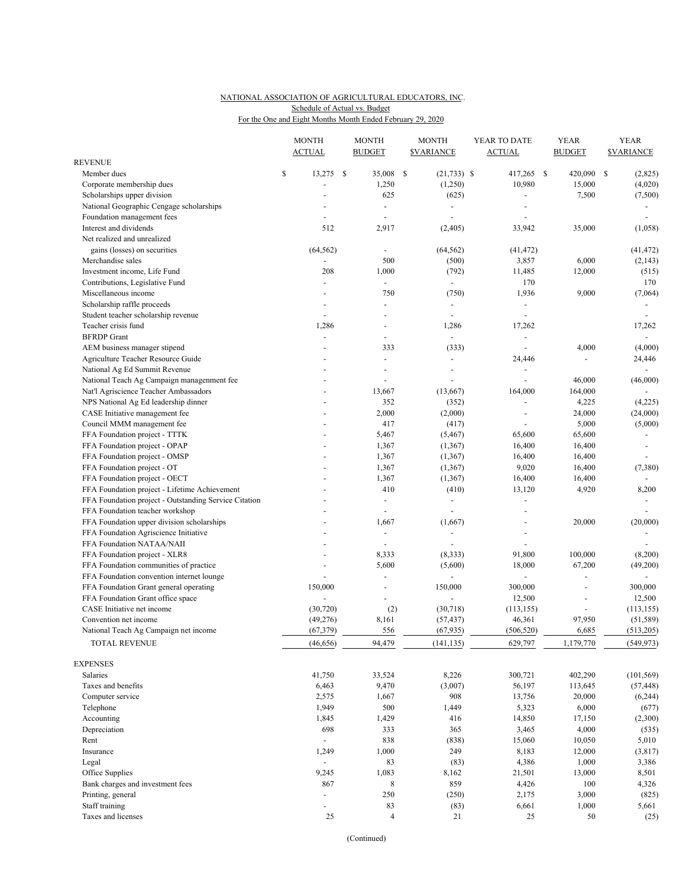### NATIONAL ASSOCIATION OF AGRICULTURAL EDUCATORS, INC. For the One and Eight Months Month Ended February 29, 2020 Schedule of Actual vs. Budget

|                                                       | <b>MONTH</b><br><b>ACTUAL</b> |    | <b>MONTH</b><br><b>BUDGET</b> | <b>MONTH</b><br><b><i>SVARIANCE</i></b> | YEAR TO DATE<br><b>ACTUAL</b> | <b>YEAR</b><br><b>BUDGET</b> | <b>YEAR</b><br><b><i>SVARIANCE</i></b> |
|-------------------------------------------------------|-------------------------------|----|-------------------------------|-----------------------------------------|-------------------------------|------------------------------|----------------------------------------|
| <b>REVENUE</b>                                        |                               |    |                               |                                         |                               |                              |                                        |
| Member dues                                           | \$<br>13,275                  | -S | 35,008                        | \$<br>$(21,733)$ \$                     | 417,265 \$                    | 420,090                      | \$<br>(2,825)                          |
| Corporate membership dues                             |                               |    | 1,250                         | (1,250)                                 | 10,980                        | 15,000                       | (4,020)                                |
| Scholarships upper division                           |                               |    | 625                           | (625)                                   | $\overline{a}$                | 7,500                        | (7,500)                                |
| National Geographic Cengage scholarships              |                               |    | $\overline{\phantom{a}}$      | $\blacksquare$                          |                               |                              |                                        |
| Foundation management fees                            | $\overline{\phantom{a}}$      |    | $\overline{\phantom{a}}$      | $\overline{\phantom{a}}$                | $\overline{\phantom{a}}$      |                              | $\overline{\phantom{a}}$               |
| Interest and dividends                                | 512                           |    | 2,917                         | (2,405)                                 | 33,942                        | 35,000                       | (1,058)                                |
| Net realized and unrealized                           |                               |    |                               |                                         |                               |                              |                                        |
| gains (losses) on securities                          | (64, 562)                     |    | ÷,                            | (64, 562)                               | (41, 472)                     |                              | (41, 472)                              |
| Merchandise sales                                     |                               |    | 500                           | (500)                                   | 3,857                         | 6,000                        | (2, 143)                               |
| Investment income, Life Fund                          | 208                           |    | 1,000                         | (792)                                   | 11,485                        | 12,000                       | (515)                                  |
| Contributions, Legislative Fund                       | ÷,                            |    | $\blacksquare$                | $\blacksquare$                          | 170                           |                              | 170                                    |
| Miscellaneous income                                  | ÷,                            |    | 750                           | (750)                                   | 1,936                         | 9,000                        | (7,064)                                |
| Scholarship raffle proceeds                           | ÷,                            |    | ÷.                            | $\overline{\phantom{a}}$                | $\blacksquare$                |                              | $\overline{\phantom{a}}$               |
| Student teacher scholarship revenue                   | $\overline{a}$                |    |                               | $\sim$                                  | $\blacksquare$                |                              | $\sim$                                 |
| Teacher crisis fund                                   | 1,286                         |    |                               | 1,286                                   | 17,262                        |                              | 17,262                                 |
| <b>BFRDP</b> Grant                                    | $\overline{a}$                |    | $\overline{\phantom{a}}$      | $\overline{\phantom{a}}$                | ÷,                            |                              | $\overline{\phantom{a}}$               |
| AEM business manager stipend                          |                               |    | 333                           | (333)                                   |                               | 4,000                        | (4,000)                                |
| Agriculture Teacher Resource Guide                    |                               |    | $\overline{a}$                | $\overline{\phantom{a}}$                | 24,446                        | $\overline{\phantom{a}}$     | 24,446                                 |
| National Ag Ed Summit Revenue                         |                               |    |                               |                                         |                               |                              |                                        |
| National Teach Ag Campaign managenment fee            |                               |    | $\overline{a}$                | $\overline{a}$                          | $\blacksquare$                | 46,000                       | (46,000)                               |
| Nat'l Agriscience Teacher Ambassadors                 |                               |    | 13,667                        | (13,667)                                | 164,000                       | 164,000                      |                                        |
| NPS National Ag Ed leadership dinner                  |                               |    | 352                           | (352)                                   | $\overline{a}$                | 4,225                        | (4,225)                                |
| CASE Initiative management fee                        |                               |    | 2,000                         | (2,000)                                 | $\overline{\phantom{a}}$      | 24,000                       | (24,000)                               |
| Council MMM management fee                            |                               |    | 417                           | (417)                                   |                               | 5,000                        | (5,000)                                |
| FFA Foundation project - TTTK                         |                               |    | 5,467                         | (5, 467)                                | 65,600                        | 65,600                       |                                        |
| FFA Foundation project - OPAP                         |                               |    | 1,367                         | (1, 367)                                | 16,400                        | 16,400                       | $\overline{\phantom{a}}$               |
| FFA Foundation project - OMSP                         |                               |    | 1,367                         | (1, 367)                                | 16,400                        | 16,400                       |                                        |
| FFA Foundation project - OT                           |                               |    | 1,367                         | (1, 367)                                | 9,020                         | 16,400                       | (7,380)                                |
| FFA Foundation project - OECT                         |                               |    | 1,367                         | (1, 367)                                | 16,400                        | 16,400                       |                                        |
| FFA Foundation project - Lifetime Achievement         |                               |    | 410                           | (410)                                   | 13,120                        | 4,920                        | 8,200                                  |
| FFA Foundation project - Outstanding Service Citation |                               |    | $\overline{\phantom{a}}$      | $\blacksquare$                          | $\overline{\phantom{a}}$      |                              |                                        |
| FFA Foundation teacher workshop                       |                               |    |                               | ÷,                                      |                               |                              |                                        |
| FFA Foundation upper division scholarships            |                               |    | 1,667                         | (1,667)                                 | ÷,                            | 20,000                       | (20,000)                               |
| FFA Foundation Agriscience Initiative                 |                               |    | $\blacksquare$                | $\sim$                                  | $\overline{\phantom{a}}$      |                              | $\overline{\phantom{a}}$               |
| FFA Foundation NATAA/NAII                             |                               |    | $\overline{a}$                |                                         | $\overline{a}$                |                              |                                        |
| FFA Foundation project - XLR8                         |                               |    | 8,333                         | (8, 333)                                | 91,800                        | 100,000                      | (8,200)                                |
| FFA Foundation communities of practice                | $\overline{\phantom{a}}$      |    | 5,600                         | (5,600)                                 | 18,000                        | 67,200                       | (49,200)                               |
| FFA Foundation convention internet lounge             |                               |    |                               | $\overline{a}$                          | $\overline{\phantom{a}}$      | ÷                            | $\blacksquare$                         |
| FFA Foundation Grant general operating                | 150,000                       |    | ÷,                            | 150,000                                 | 300,000                       | ÷,                           | 300,000                                |
| FFA Foundation Grant office space                     |                               |    |                               |                                         | 12,500                        | ÷,                           | 12,500                                 |
| CASE Initiative net income                            | (30, 720)                     |    | (2)                           | (30, 718)                               | (113, 155)                    | $\overline{\phantom{0}}$     | (113, 155)                             |
| Convention net income                                 | (49,276)                      |    | 8,161                         | (57, 437)                               | 46,361                        | 97,950                       | (51, 589)                              |
| National Teach Ag Campaign net income                 | (67, 379)                     |    | 556                           | (67, 935)                               | (506, 520)                    | 6,685                        | (513,205)                              |
|                                                       |                               |    |                               |                                         |                               |                              |                                        |
| TOTAL REVENUE                                         | (46, 656)                     |    | 94,479                        | (141, 135)                              | 629,797                       | 1,179,770                    | (549, 973)                             |
| <b>EXPENSES</b>                                       |                               |    |                               |                                         |                               |                              |                                        |
| Salaries                                              | 41,750                        |    | 33,524                        | 8,226                                   | 300,721                       | 402,290                      | (101, 569)                             |
| Taxes and benefits                                    | 6,463                         |    | 9,470                         | (3,007)                                 | 56,197                        | 113,645                      | (57, 448)                              |
| Computer service                                      | 2,575                         |    | 1,667                         | 908                                     | 13,756                        | 20,000                       | (6,244)                                |
| Telephone                                             | 1,949                         |    | 500                           | 1,449                                   | 5,323                         | 6,000                        | (677)                                  |
| Accounting                                            | 1,845                         |    | 1,429                         | 416                                     | 14,850                        | 17,150                       | (2,300)                                |
| Depreciation                                          | 698                           |    | 333                           | 365                                     | 3,465                         | 4,000                        | (535)                                  |
| Rent                                                  | $\blacksquare$                |    | 838                           | (838)                                   | 15,060                        | 10,050                       | 5,010                                  |
| Insurance                                             | 1,249                         |    | 1,000                         | 249                                     | 8,183                         | 12,000                       | (3, 817)                               |
| Legal                                                 | $\overline{\phantom{a}}$      |    | 83                            | (83)                                    | 4,386                         | 1,000                        | 3,386                                  |
| Office Supplies                                       | 9,245                         |    | 1,083                         | 8,162                                   | 21,501                        | 13,000                       | 8,501                                  |
| Bank charges and investment fees                      | 867                           |    | 8                             | 859                                     | 4,426                         | 100                          | 4,326                                  |
| Printing, general                                     | $\overline{a}$                |    | 250                           | (250)                                   | 2,175                         | 3,000                        | (825)                                  |
| Staff training                                        | ÷,                            |    | 83                            | (83)                                    | 6,661                         | 1,000                        | 5,661                                  |
| Taxes and licenses                                    | 25                            |    | 4                             | 21                                      | 25                            | 50                           | (25)                                   |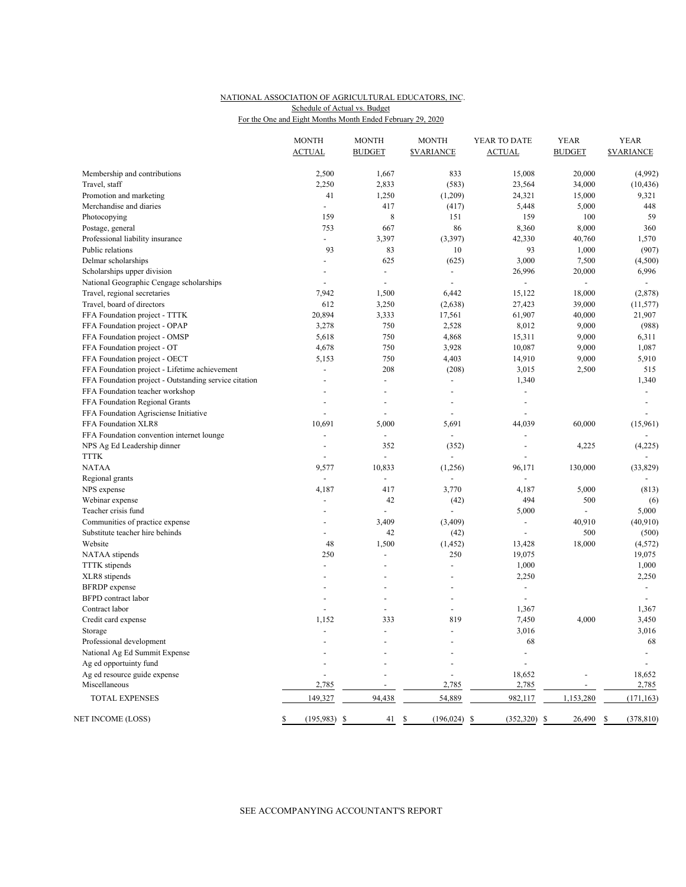#### NATIONAL ASSOCIATION OF AGRICULTURAL EDUCATORS, INC. For the One and Eight Months Month Ended February 29, 2020 Schedule of Actual vs. Budget

|                                                       | <b>MONTH</b><br><b>ACTUAL</b> | <b>MONTH</b><br><b>BUDGET</b> | <b>MONTH</b><br><b><i>SVARIANCE</i></b> | YEAR TO DATE<br><b>ACTUAL</b> | <b>YEAR</b><br><b>BUDGET</b> | <b>YEAR</b><br><b>SVARIANCE</b> |
|-------------------------------------------------------|-------------------------------|-------------------------------|-----------------------------------------|-------------------------------|------------------------------|---------------------------------|
| Membership and contributions                          | 2,500                         | 1,667                         | 833                                     | 15,008                        | 20,000                       | (4,992)                         |
| Travel, staff                                         | 2,250                         | 2,833                         | (583)                                   | 23,564                        | 34,000                       | (10, 436)                       |
| Promotion and marketing                               | 41                            | 1,250                         | (1,209)                                 | 24,321                        | 15,000                       | 9,321                           |
| Merchandise and diaries                               | $\blacksquare$                | 417                           | (417)                                   | 5,448                         | 5,000                        | 448                             |
| Photocopying                                          | 159                           | 8                             | 151                                     | 159                           | 100                          | 59                              |
| Postage, general                                      | 753                           | 667                           | 86                                      | 8,360                         | 8,000                        | 360                             |
| Professional liability insurance                      | $\blacksquare$                | 3,397                         | (3, 397)                                | 42,330                        | 40,760                       | 1,570                           |
| Public relations                                      | 93                            | 83                            | 10                                      | 93                            | 1,000                        | (907)                           |
| Delmar scholarships                                   | $\blacksquare$                | 625                           | (625)                                   | 3,000                         | 7,500                        | (4,500)                         |
| Scholarships upper division                           | $\overline{\phantom{a}}$      | $\overline{\phantom{a}}$      | $\overline{\phantom{a}}$                | 26,996                        | 20,000                       | 6,996                           |
| National Geographic Cengage scholarships              |                               | $\sim$                        | $\blacksquare$                          | ÷,                            | $\overline{\phantom{a}}$     | $\blacksquare$                  |
| Travel, regional secretaries                          | 7,942                         | 1,500                         | 6,442                                   | 15,122                        | 18,000                       | (2,878)                         |
| Travel, board of directors                            | 612                           | 3,250                         | (2,638)                                 | 27,423                        | 39,000                       | (11, 577)                       |
| FFA Foundation project - TTTK                         | 20,894                        | 3,333                         | 17,561                                  | 61,907                        | 40,000                       | 21,907                          |
| FFA Foundation project - OPAP                         | 3,278                         | 750                           | 2,528                                   | 8,012                         | 9,000                        | (988)                           |
| FFA Foundation project - OMSP                         | 5,618                         | 750                           | 4,868                                   | 15,311                        | 9,000                        | 6,311                           |
| FFA Foundation project - OT                           | 4,678                         | 750                           | 3,928                                   | 10,087                        | 9,000                        | 1,087                           |
| FFA Foundation project - OECT                         | 5,153                         | 750                           | 4,403                                   | 14,910                        | 9,000                        | 5,910                           |
| FFA Foundation project - Lifetime achievement         | $\overline{\phantom{a}}$      | 208                           | (208)                                   | 3,015                         | 2,500                        | 515                             |
| FFA Foundation project - Outstanding service citation | $\overline{a}$                | $\sim$                        | $\blacksquare$                          | 1,340                         |                              | 1,340                           |
| FFA Foundation teacher workshop                       | $\overline{\phantom{a}}$      | ÷,                            | ÷,                                      | $\overline{\phantom{a}}$      |                              | $\blacksquare$                  |
| FFA Foundation Regional Grants                        |                               | ÷,                            | ÷,                                      | $\overline{\phantom{a}}$      |                              | $\blacksquare$                  |
| FFA Foundation Agrisciense Initiative                 | $\blacksquare$                | $\sim$                        | $\blacksquare$                          | ÷,                            |                              | $\sim$                          |
| FFA Foundation XLR8                                   | 10,691                        | 5,000                         | 5,691                                   | 44,039                        | 60,000                       | (15,961)                        |
| FFA Foundation convention internet lounge             | ÷,                            | $\overline{\phantom{a}}$      | $\overline{\phantom{a}}$                | $\overline{\phantom{a}}$      |                              |                                 |
| NPS Ag Ed Leadership dinner                           | $\sim$                        | 352                           | (352)                                   | ÷,                            | 4,225                        | (4,225)                         |
| <b>TTTK</b>                                           |                               | ÷,                            | ÷,                                      | $\overline{\phantom{a}}$      |                              | $\blacksquare$                  |
| <b>NATAA</b>                                          | 9,577                         | 10,833                        | (1,256)                                 | 96,171                        | 130,000                      | (33,829)                        |
| Regional grants                                       |                               | $\overline{a}$                |                                         | ÷,                            |                              |                                 |
| NPS expense                                           | 4,187                         | 417                           | 3,770                                   | 4,187                         | 5,000                        | (813)                           |
| Webinar expense                                       | $\blacksquare$                | 42                            | (42)                                    | 494                           | 500                          | (6)                             |
| Teacher crisis fund                                   |                               |                               |                                         | 5,000                         |                              | 5,000                           |
| Communities of practice expense                       | $\overline{a}$                | 3,409                         | (3,409)                                 | $\overline{\phantom{a}}$      | 40,910                       | (40,910)                        |
| Substitute teacher hire behinds                       |                               | 42                            | (42)                                    | ÷,                            | 500                          | (500)                           |
| Website                                               | 48                            | 1,500                         | (1, 452)                                | 13,428                        | 18,000                       | (4, 572)                        |
| NATAA stipends                                        | 250                           | ÷,                            | 250                                     | 19,075                        |                              | 19,075                          |
| <b>TTTK</b> stipends                                  | $\blacksquare$                | $\overline{\phantom{a}}$      | $\blacksquare$                          | 1,000                         |                              | 1,000                           |
| XLR8 stipends                                         |                               | $\overline{\phantom{a}}$      | ÷,                                      | 2,250                         |                              | 2,250                           |
| <b>BFRDP</b> expense                                  | $\overline{a}$                | $\overline{\phantom{a}}$      | $\overline{\phantom{a}}$                | $\blacksquare$                |                              | $\overline{\phantom{a}}$        |
| <b>BFPD</b> contract labor                            |                               |                               |                                         | $\blacksquare$                |                              |                                 |
| Contract labor                                        | $\overline{\phantom{a}}$      | $\blacksquare$                | $\blacksquare$                          | 1,367                         |                              | 1,367                           |
| Credit card expense                                   | 1,152                         | 333                           | 819                                     | 7,450                         | 4,000                        | 3,450                           |
| Storage                                               | $\overline{a}$                | $\sim$                        | $\blacksquare$                          | 3,016                         |                              | 3,016                           |
| Professional development                              |                               |                               |                                         | 68                            |                              | 68                              |
| National Ag Ed Summit Expense                         |                               |                               |                                         |                               |                              |                                 |
| Ag ed opportuinty fund                                |                               |                               |                                         |                               |                              |                                 |
| Ag ed resource guide expense                          |                               |                               |                                         | 18,652                        |                              | 18,652                          |
| Miscellaneous                                         | 2,785                         |                               | 2,785                                   | 2,785                         |                              | 2,785                           |
| TOTAL EXPENSES                                        | 149,327                       | 94,438                        | 54,889                                  | 982,117                       | 1,153,280                    | (171, 163)                      |
| NET INCOME (LOSS)                                     | $(195,983)$ \$                | 41                            | $(196, 024)$ \$<br>\$                   | $(352,320)$ \$                | 26,490                       | (378, 810)<br>\$                |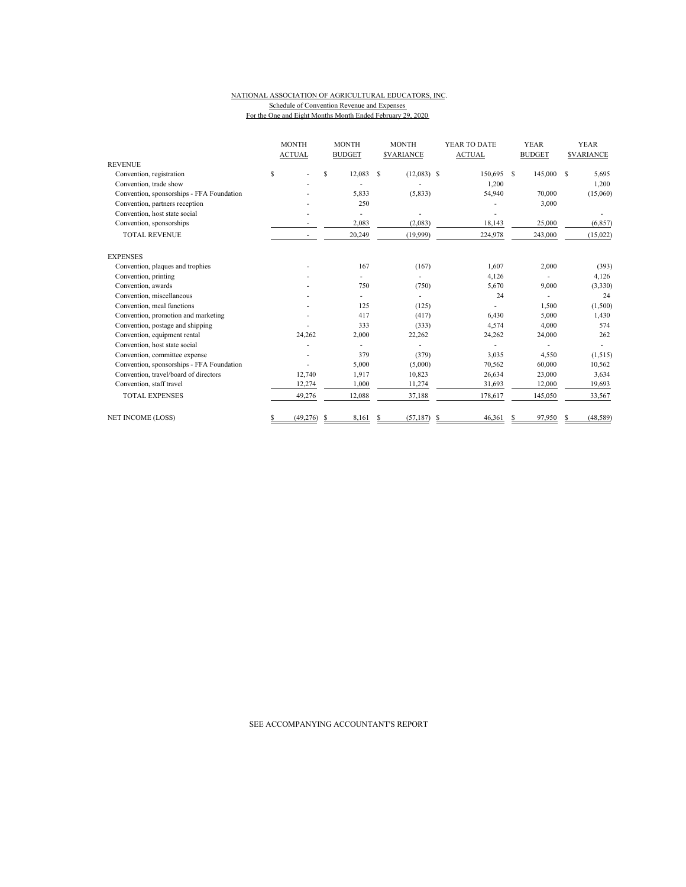#### NATIONAL ASSOCIATION OF AGRICULTURAL EDUCATORS, INC. Schedule of Convention Revenue and Expenses For the One and Eight Months Month Ended February 29, 2020

|                                           | <b>MONTH</b>    | <b>MONTH</b>  | <b>MONTH</b>            | YEAR TO DATE  | <b>YEAR</b>   | <b>YEAR</b>      |
|-------------------------------------------|-----------------|---------------|-------------------------|---------------|---------------|------------------|
|                                           | <b>ACTUAL</b>   | <b>BUDGET</b> | <b><i>SVARIANCE</i></b> | <b>ACTUAL</b> | <b>BUDGET</b> | <b>SVARIANCE</b> |
| <b>REVENUE</b>                            |                 |               |                         |               |               |                  |
| Convention, registration                  | \$              | S<br>12,083   | S<br>$(12,083)$ \$      | 150,695       | S<br>145,000  | S<br>5,695       |
| Convention, trade show                    |                 |               |                         | 1,200         |               | 1,200            |
| Convention, sponsorships - FFA Foundation |                 | 5,833         | (5, 833)                | 54,940        | 70,000        | (15,060)         |
| Convention, partners reception            |                 | 250           |                         |               | 3,000         |                  |
| Convention, host state social             |                 |               |                         |               |               |                  |
| Convention, sponsorships                  |                 | 2,083         | (2,083)                 | 18,143        | 25,000        | (6, 857)         |
| <b>TOTAL REVENUE</b>                      |                 | 20,249        | (19,999)                | 224,978       | 243,000       | (15,022)         |
| <b>EXPENSES</b>                           |                 |               |                         |               |               |                  |
| Convention, plaques and trophies          |                 | 167           | (167)                   | 1,607         | 2,000         | (393)            |
| Convention, printing                      |                 |               |                         | 4,126         |               | 4,126            |
| Convention, awards                        |                 | 750           | (750)                   | 5,670         | 9,000         | (3,330)          |
| Convention, miscellaneous                 |                 |               |                         | 24            |               | 24               |
| Convention, meal functions                |                 | 125           | (125)                   |               | 1,500         | (1,500)          |
| Convention, promotion and marketing       |                 | 417           | (417)                   | 6,430         | 5,000         | 1,430            |
| Convention, postage and shipping          |                 | 333           | (333)                   | 4,574         | 4,000         | 574              |
| Convention, equipment rental              | 24,262          | 2,000         | 22,262                  | 24,262        | 24,000        | 262              |
| Convention, host state social             |                 |               |                         |               |               |                  |
| Convention, committee expense             |                 | 379           | (379)                   | 3,035         | 4,550         | (1,515)          |
| Convention, sponsorships - FFA Foundation |                 | 5,000         | (5,000)                 | 70,562        | 60,000        | 10,562           |
| Convention, travel/board of directors     | 12,740          | 1,917         | 10,823                  | 26,634        | 23,000        | 3,634            |
| Convention, staff travel                  | 12,274          | 1,000         | 11,274                  | 31,693        | 12,000        | 19,693           |
| <b>TOTAL EXPENSES</b>                     | 49,276          | 12,088        | 37,188                  | 178,617       | 145,050       | 33,567           |
| <b>NET INCOME (LOSS)</b>                  | (49, 276)<br>\$ | 8,161<br>S    | (57, 187)<br>S          | 46,361<br>S   | 97,950<br>S   | (48, 589)        |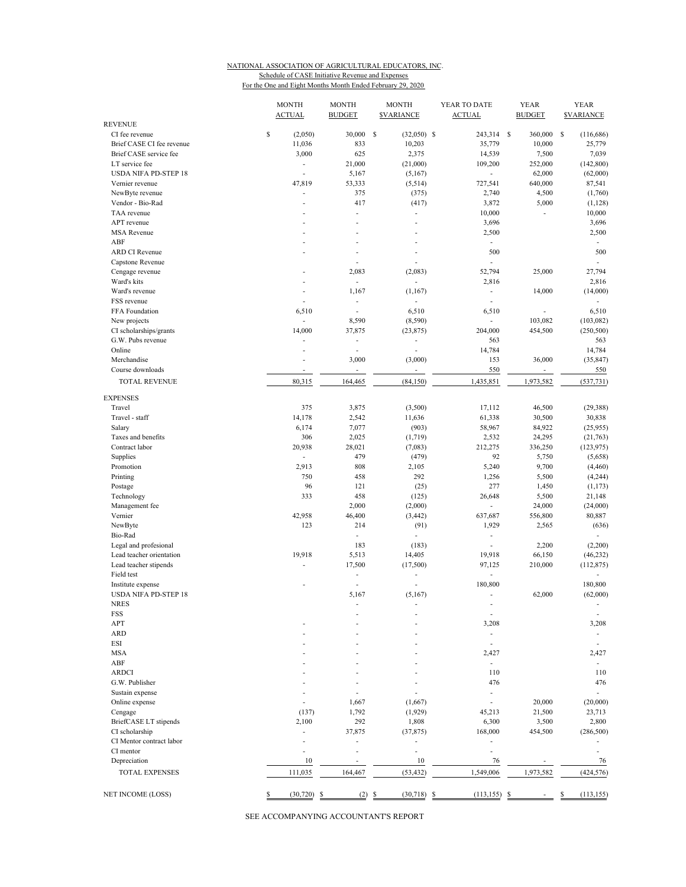# NATIONAL ASSOCIATION OF AGRICULTURAL EDUCATORS, INC. Schedule of CASE Initiative Revenue and Expenses

For the One and Eight Months Month Ended February 29, 2020

|                                  | <b>MONTH</b><br><b>ACTUAL</b> | <b>MONTH</b><br><b>BUDGET</b> | <b>MONTH</b><br><b><i>SVARIANCE</i></b> | YEAR TO DATE<br><b>ACTUAL</b>        | <b>YEAR</b><br><b>BUDGET</b> | <b>YEAR</b><br><b>SVARIANCE</b> |
|----------------------------------|-------------------------------|-------------------------------|-----------------------------------------|--------------------------------------|------------------------------|---------------------------------|
| <b>REVENUE</b>                   |                               |                               |                                         |                                      |                              |                                 |
| CI fee revenue                   | \$<br>(2,050)                 | 30,000                        | s<br>$(32,050)$ \$                      | 243,314 \$                           | 360,000                      | -S<br>(116, 686)                |
| Brief CASE CI fee revenue        | 11,036                        | 833                           | 10,203                                  | 35,779                               | 10,000                       | 25,779                          |
| Brief CASE service fee           | 3,000                         | 625                           | 2,375                                   | 14,539                               | 7,500                        | 7,039                           |
| LT service fee                   | ÷                             | 21,000                        | (21,000)                                | 109,200                              | 252,000                      | (142, 800)                      |
| <b>USDA NIFA PD-STEP 18</b>      |                               | 5,167                         | (5,167)                                 | ä,                                   | 62,000                       | (62,000)                        |
| Vernier revenue                  | 47,819                        | 53,333                        | (5,514)                                 | 727,541                              | 640,000                      | 87,541                          |
| NewByte revenue                  | $\overline{\phantom{a}}$      | 375                           | (375)                                   | 2,740                                | 4,500                        | (1,760)                         |
| Vendor - Bio-Rad                 | ÷                             | 417                           | (417)                                   | 3,872                                | 5,000                        | (1, 128)                        |
| TAA revenue                      |                               | ÷,                            | L.                                      | 10,000                               | $\overline{a}$               | 10,000                          |
| APT revenue                      |                               | ÷.                            |                                         | 3,696                                |                              | 3,696                           |
| <b>MSA</b> Revenue               |                               |                               |                                         | 2,500                                |                              | 2,500                           |
| ABF                              |                               |                               |                                         | $\mathcal{L}_{\mathcal{A}}$          |                              | ÷                               |
| <b>ARD CI Revenue</b>            |                               | L,                            |                                         | 500                                  |                              | 500                             |
| Capstone Revenue                 |                               | ÷.                            |                                         | $\overline{\phantom{a}}$             |                              | ÷.                              |
| Cengage revenue                  |                               | 2,083                         | (2,083)                                 | 52,794                               | 25,000                       | 27,794                          |
| Ward's kits                      |                               | ÷.                            | ä,                                      | 2,816                                |                              | 2,816                           |
| Ward's revenue                   | ٠                             | 1,167                         | (1,167)                                 | $\overline{\phantom{a}}$             | 14,000                       | (14,000)                        |
| FSS revenue                      |                               | ÷                             |                                         |                                      |                              |                                 |
| FFA Foundation                   | 6,510                         | ÷                             | 6,510                                   | 6,510                                |                              | 6,510                           |
| New projects                     | ÷                             | 8,590                         | (8,590)                                 | ÷,                                   | 103,082                      | (103, 082)                      |
| CI scholarships/grants           | 14,000                        | 37,875                        | (23, 875)                               | 204,000                              | 454,500                      | (250, 500)                      |
| G.W. Pubs revenue                |                               | ÷,                            |                                         | 563                                  |                              | 563                             |
| Online                           | ٠                             | ÷,                            |                                         | 14,784                               |                              | 14,784                          |
| Merchandise                      |                               | 3,000                         | (3,000)                                 | 153                                  | 36,000                       | (35, 847)                       |
| Course downloads                 | ä,                            | $\overline{\phantom{a}}$      |                                         | 550                                  | $\overline{\phantom{a}}$     | 550                             |
| <b>TOTAL REVENUE</b>             | 80,315                        | 164,465                       | (84, 150)                               | 1,435,851                            | 1,973,582                    | (537, 731)                      |
| <b>EXPENSES</b>                  |                               |                               |                                         |                                      |                              |                                 |
| Travel                           | 375                           | 3,875                         | (3,500)                                 | 17,112                               | 46,500                       | (29, 388)                       |
| Travel - staff                   | 14,178                        | 2,542                         | 11,636                                  | 61,338                               | 30,500                       | 30,838                          |
|                                  |                               |                               |                                         |                                      |                              |                                 |
| Salary<br>Taxes and benefits     | 6,174<br>306                  | 7,077                         | (903)                                   | 58,967                               | 84,922                       | (25,955)                        |
| Contract labor                   | 20,938                        | 2,025                         | (1,719)                                 | 2,532                                | 24,295                       | (21, 763)                       |
|                                  |                               | 28,021                        | (7,083)                                 | 212,275                              | 336,250                      | (123, 975)                      |
| Supplies                         | ÷.                            | 479                           | (479)                                   | 92                                   | 5,750                        | (5,658)                         |
| Promotion                        | 2,913                         | 808                           | 2,105                                   | 5,240                                | 9,700                        | (4, 460)                        |
| Printing                         | 750                           | 458                           | 292                                     | 1,256                                | 5,500                        | (4,244)                         |
| Postage                          | 96                            | 121                           | (25)                                    | 277                                  | 1,450                        | (1, 173)                        |
| Technology                       | 333                           | 458                           | (125)                                   | 26,648                               | 5,500                        | 21,148                          |
| Management fee                   |                               | 2,000                         | (2,000)                                 | $\overline{\phantom{a}}$             | 24,000                       | (24,000)                        |
| Vernier                          | 42,958                        | 46,400                        | (3, 442)                                | 637,687                              | 556,800                      | 80,887                          |
| NewByte                          | 123                           | 214                           | (91)                                    | 1,929                                | 2,565                        | (636)                           |
| Bio-Rad                          |                               | $\overline{\phantom{a}}$      | ÷,                                      | ÷,                                   |                              |                                 |
| Legal and profesional            |                               | 183                           | (183)                                   | L,                                   | 2,200                        | (2,200)                         |
| Lead teacher orientation         | 19,918                        | 5,513                         | 14,405                                  | 19,918                               | 66,150                       | (46, 232)                       |
| Lead teacher stipends            |                               | 17,500                        | (17,500)                                | 97,125                               | 210,000                      | (112, 875)                      |
| Field test                       |                               | $\overline{\phantom{a}}$      |                                         | L.                                   |                              |                                 |
| Institute expense                |                               | Ĭ.                            |                                         | 180,800                              |                              | 180,800                         |
| <b>USDA NIFA PD-STEP 18</b>      |                               | 5,167                         | (5,167)                                 | ÷,                                   | 62,000                       | (62,000)                        |
| NRES                             |                               |                               |                                         |                                      |                              | ٠                               |
| FSS                              |                               |                               |                                         | $\overline{\phantom{a}}$             |                              | $\overline{a}$                  |
| APT                              |                               |                               |                                         | 3,208                                |                              | 3,208                           |
| <b>ARD</b>                       |                               |                               |                                         | $\overline{\phantom{m}}$             |                              |                                 |
| <b>ESI</b>                       |                               |                               |                                         |                                      |                              |                                 |
| <b>MSA</b>                       |                               |                               |                                         | 2,427                                |                              | 2,427                           |
| ABF                              |                               |                               |                                         | $\overline{\phantom{a}}$             |                              | ÷                               |
| <b>ARDCI</b>                     |                               |                               |                                         | 110                                  |                              | 110                             |
| G.W. Publisher                   |                               |                               |                                         | 476                                  |                              | 476                             |
| Sustain expense                  |                               |                               |                                         |                                      |                              | ٠                               |
| Online expense                   |                               | 1,667                         | (1,667)                                 |                                      | 20,000                       | (20,000)                        |
|                                  | (137)                         | 1,792                         | (1,929)                                 | 45,213                               | 21,500                       | 23,713                          |
| Cengage<br>BriefCASE LT stipends | 2,100                         | 292                           |                                         |                                      |                              |                                 |
|                                  |                               |                               | 1,808                                   | 6,300                                | 3,500                        | 2,800                           |
| CI scholarship                   |                               | 37,875                        | (37, 875)                               | 168,000                              | 454,500                      | (286, 500)                      |
| CI Mentor contract labor         |                               | ÷,                            | ÷,                                      | L,                                   |                              |                                 |
| CI mentor                        |                               | ÷,                            | ä,                                      |                                      |                              |                                 |
| Depreciation                     | 10                            |                               | 10                                      | 76                                   |                              | 76                              |
| TOTAL EXPENSES                   | 111,035                       | 164,467                       | (53, 432)                               | 1,549,006                            | 1,973,582                    | (424, 576)                      |
| NET INCOME (LOSS)                | \$<br>(30, 720)               | (2)<br>- \$                   | (30, 718)<br>S                          | $\frac{\mathbb{S}}{2}$<br>(113, 155) | -S                           | (113, 155)<br>\$                |